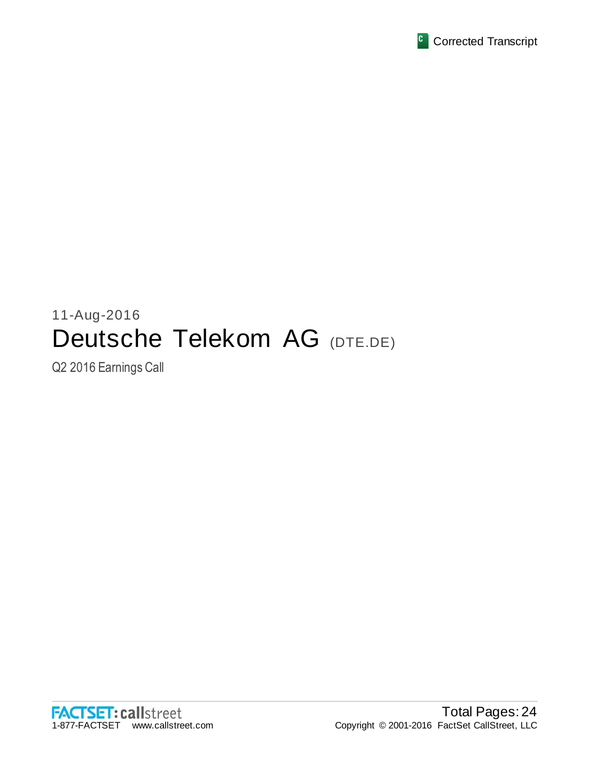

# 11-Aug-2016 Deutsche Telekom AG (DTE.DE)

Q2 2016 Earnings Call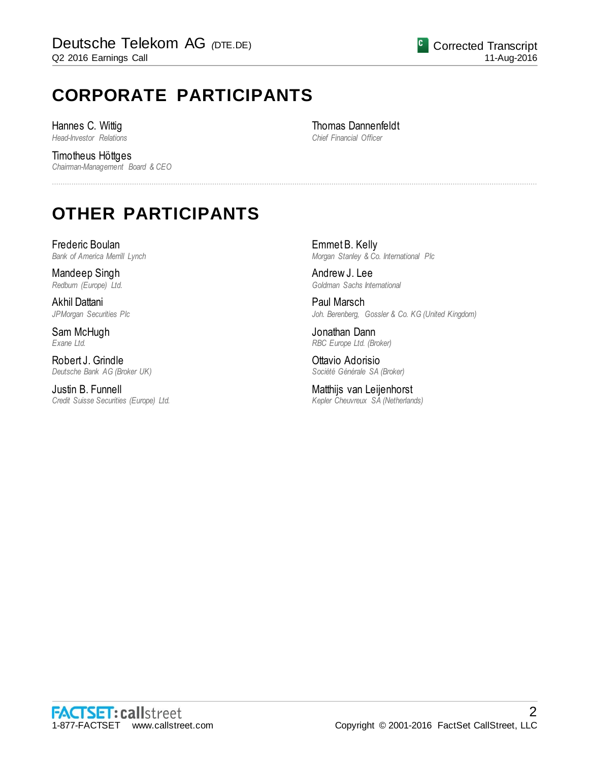# **CORPORATE PARTICIPANTS**

Hannes C. Wittig *Head-Investor Relations*

Timotheus Höttges *Chairman-Management Board & CEO* Thomas Dannenfeldt *Chief Financial Officer*

................................................................................................................................................................................................................................

# **OTHER PARTICIPANTS**

Frederic Boulan *Bank of America Merrill Lynch*

Mandeep Singh *Redburn (Europe) Ltd.*

Akhil Dattani *JPMorgan Securities Plc*

Sam McHugh *Exane Ltd.*

Robert J. Grindle *Deutsche Bank AG (Broker UK)*

Justin B. Funnell *Credit Suisse Securities (Europe) Ltd.* Emmet B. Kelly *Morgan Stanley & Co. International Plc*

Andrew J. Lee *Goldman Sachs International*

Paul Marsch *Joh. Berenberg, Gossler & Co. KG (United Kingdom)*

Jonathan Dann *RBC Europe Ltd. (Broker)*

Ottavio Adorisio *Société Générale SA (Broker)*

Matthijs van Leijenhorst *Kepler Cheuvreux SA (Netherlands)*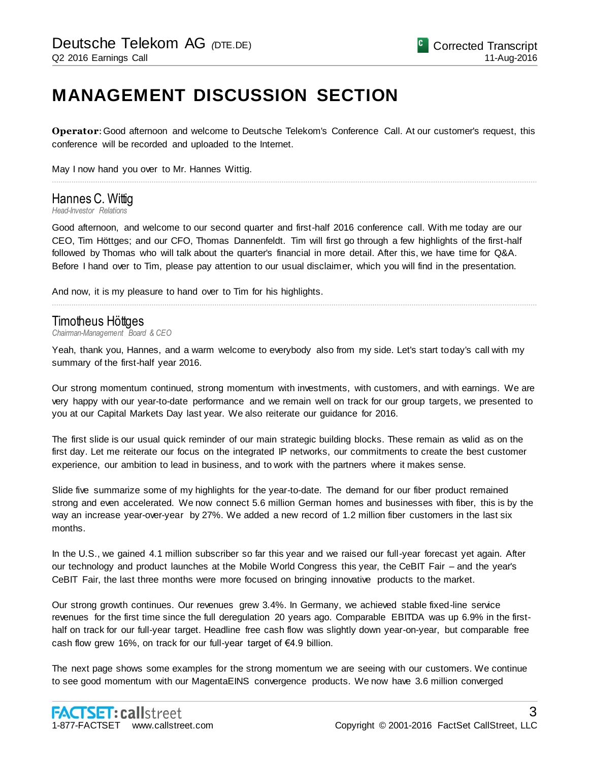# **MANAGEMENT DISCUSSION SECTION**

**Operator**: Good afternoon and welcome to Deutsche Telekom's Conference Call. At our customer's request, this conference will be recorded and uploaded to the Internet.

................................................................................................................................................................................................................................

May I now hand you over to Mr. Hannes Wittig.

### Hannes C. Wittig

*Head-Investor Relations*

Good afternoon, and welcome to our second quarter and first-half 2016 conference call. With me today are our CEO, Tim Höttges; and our CFO, Thomas Dannenfeldt. Tim will first go through a few highlights of the first-half followed by Thomas who will talk about the quarter's financial in more detail. After this, we have time for Q&A. Before I hand over to Tim, please pay attention to our usual disclaimer, which you will find in the presentation.

And now, it is my pleasure to hand over to Tim for his highlights.

#### Timotheus Höttges

*Chairman-Management Board & CEO*

Yeah, thank you, Hannes, and a warm welcome to everybody also from my side. Let's start today's call with my summary of the first-half year 2016.

................................................................................................................................................................................................................................

Our strong momentum continued, strong momentum with investments, with customers, and with earnings. We are very happy with our year-to-date performance and we remain well on track for our group targets, we presented to you at our Capital Markets Day last year. We also reiterate our guidance for 2016.

The first slide is our usual quick reminder of our main strategic building blocks. These remain as valid as on the first day. Let me reiterate our focus on the integrated IP networks, our commitments to create the best customer experience, our ambition to lead in business, and to work with the partners where it makes sense.

Slide five summarize some of my highlights for the year-to-date. The demand for our fiber product remained strong and even accelerated. We now connect 5.6 million German homes and businesses with fiber, this is by the way an increase year-over-year by 27%. We added a new record of 1.2 million fiber customers in the last six months.

In the U.S., we gained 4.1 million subscriber so far this year and we raised our full-year forecast yet again. After our technology and product launches at the Mobile World Congress this year, the CeBIT Fair – and the year's CeBIT Fair, the last three months were more focused on bringing innovative products to the market.

Our strong growth continues. Our revenues grew 3.4%. In Germany, we achieved stable fixed-line service revenues for the first time since the full deregulation 20 years ago. Comparable EBITDA was up 6.9% in the firsthalf on track for our full-year target. Headline free cash flow was slightly down year-on-year, but comparable free cash flow grew 16%, on track for our full-year target of €4.9 billion.

The next page shows some examples for the strong momentum we are seeing with our customers. We continue to see good momentum with our MagentaEINS convergence products. We now have 3.6 million converged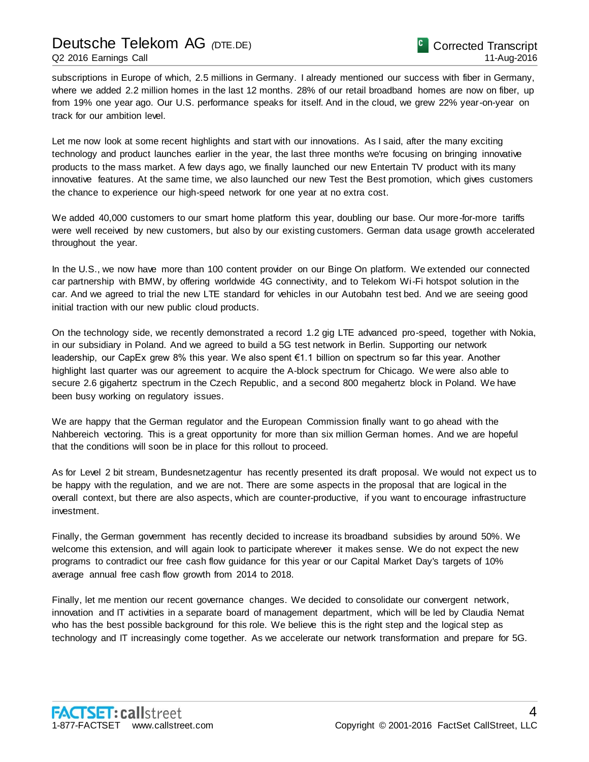### Deutsche Telekom AG *(*DTE.DE) Q2 2016 Earnings Call

subscriptions in Europe of which, 2.5 millions in Germany. I already mentioned our success with fiber in Germany, where we added 2.2 million homes in the last 12 months. 28% of our retail broadband homes are now on fiber, up from 19% one year ago. Our U.S. performance speaks for itself. And in the cloud, we grew 22% year-on-year on track for our ambition level.

Let me now look at some recent highlights and start with our innovations. As I said, after the many exciting technology and product launches earlier in the year, the last three months we're focusing on bringing innovative products to the mass market. A few days ago, we finally launched our new Entertain TV product with its many innovative features. At the same time, we also launched our new Test the Best promotion, which gives customers the chance to experience our high-speed network for one year at no extra cost.

We added 40,000 customers to our smart home platform this year, doubling our base. Our more-for-more tariffs were well received by new customers, but also by our existing customers. German data usage growth accelerated throughout the year.

In the U.S., we now have more than 100 content provider on our Binge On platform. We extended our connected car partnership with BMW, by offering worldwide 4G connectivity, and to Telekom Wi-Fi hotspot solution in the car. And we agreed to trial the new LTE standard for vehicles in our Autobahn test bed. And we are seeing good initial traction with our new public cloud products.

On the technology side, we recently demonstrated a record 1.2 gig LTE advanced pro-speed, together with Nokia, in our subsidiary in Poland. And we agreed to build a 5G test network in Berlin. Supporting our network leadership, our CapEx grew 8% this year. We also spent €1.1 billion on spectrum so far this year. Another highlight last quarter was our agreement to acquire the A-block spectrum for Chicago. We were also able to secure 2.6 gigahertz spectrum in the Czech Republic, and a second 800 megahertz block in Poland. We have been busy working on regulatory issues.

We are happy that the German regulator and the European Commission finally want to go ahead with the Nahbereich vectoring. This is a great opportunity for more than six million German homes. And we are hopeful that the conditions will soon be in place for this rollout to proceed.

As for Level 2 bit stream, Bundesnetzagentur has recently presented its draft proposal. We would not expect us to be happy with the regulation, and we are not. There are some aspects in the proposal that are logical in the overall context, but there are also aspects, which are counter-productive, if you want to encourage infrastructure investment.

Finally, the German government has recently decided to increase its broadband subsidies by around 50%. We welcome this extension, and will again look to participate wherever it makes sense. We do not expect the new programs to contradict our free cash flow guidance for this year or our Capital Market Day's targets of 10% average annual free cash flow growth from 2014 to 2018.

Finally, let me mention our recent governance changes. We decided to consolidate our convergent network, innovation and IT activities in a separate board of management department, which will be led by Claudia Nemat who has the best possible background for this role. We believe this is the right step and the logical step as technology and IT increasingly come together. As we accelerate our network transformation and prepare for 5G.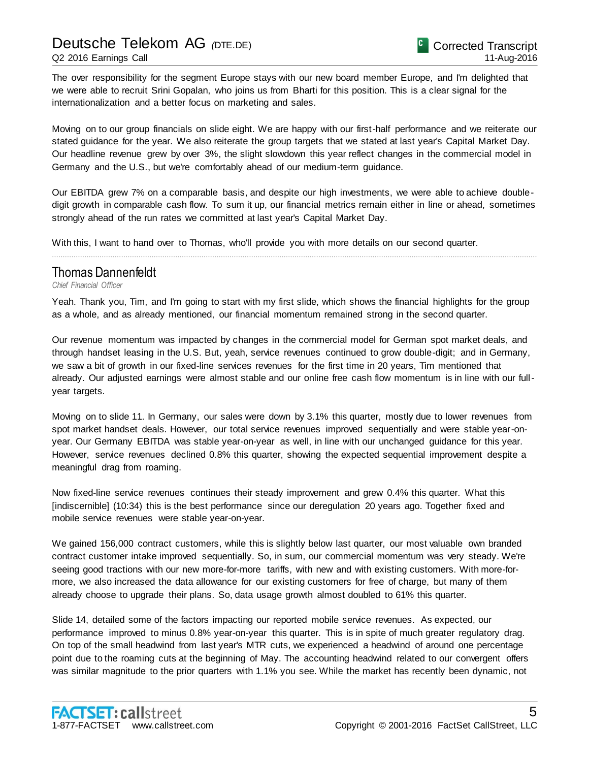The over responsibility for the segment Europe stays with our new board member Europe, and I'm delighted that we were able to recruit Srini Gopalan, who joins us from Bharti for this position. This is a clear signal for the internationalization and a better focus on marketing and sales.

Moving on to our group financials on slide eight. We are happy with our first-half performance and we reiterate our stated guidance for the year. We also reiterate the group targets that we stated at last year's Capital Market Day. Our headline revenue grew by over 3%, the slight slowdown this year reflect changes in the commercial model in Germany and the U.S., but we're comfortably ahead of our medium-term guidance.

Our EBITDA grew 7% on a comparable basis, and despite our high investments, we were able to achieve doubledigit growth in comparable cash flow. To sum it up, our financial metrics remain either in line or ahead, sometimes strongly ahead of the run rates we committed at last year's Capital Market Day.

................................................................................................................................................................................................................................

With this, I want to hand over to Thomas, who'll provide you with more details on our second quarter.

#### Thomas Dannenfeldt

#### *Chief Financial Officer*

Yeah. Thank you, Tim, and I'm going to start with my first slide, which shows the financial highlights for the group as a whole, and as already mentioned, our financial momentum remained strong in the second quarter.

Our revenue momentum was impacted by changes in the commercial model for German spot market deals, and through handset leasing in the U.S. But, yeah, service revenues continued to grow double-digit; and in Germany, we saw a bit of growth in our fixed-line services revenues for the first time in 20 years, Tim mentioned that already. Our adjusted earnings were almost stable and our online free cash flow momentum is in line with our fullyear targets.

Moving on to slide 11. In Germany, our sales were down by 3.1% this quarter, mostly due to lower revenues from spot market handset deals. However, our total service revenues improved sequentially and were stable year-onyear. Our Germany EBITDA was stable year-on-year as well, in line with our unchanged guidance for this year. However, service revenues declined 0.8% this quarter, showing the expected sequential improvement despite a meaningful drag from roaming.

Now fixed-line service revenues continues their steady improvement and grew 0.4% this quarter. What this [indiscernible] (10:34) this is the best performance since our deregulation 20 years ago. Together fixed and mobile service revenues were stable year-on-year.

We gained 156,000 contract customers, while this is slightly below last quarter, our most valuable own branded contract customer intake improved sequentially. So, in sum, our commercial momentum was very steady. We're seeing good tractions with our new more-for-more tariffs, with new and with existing customers. With more-formore, we also increased the data allowance for our existing customers for free of charge, but many of them already choose to upgrade their plans. So, data usage growth almost doubled to 61% this quarter.

Slide 14, detailed some of the factors impacting our reported mobile service revenues. As expected, our performance improved to minus 0.8% year-on-year this quarter. This is in spite of much greater regulatory drag. On top of the small headwind from last year's MTR cuts, we experienced a headwind of around one percentage point due to the roaming cuts at the beginning of May. The accounting headwind related to our convergent offers was similar magnitude to the prior quarters with 1.1% you see. While the market has recently been dynamic, not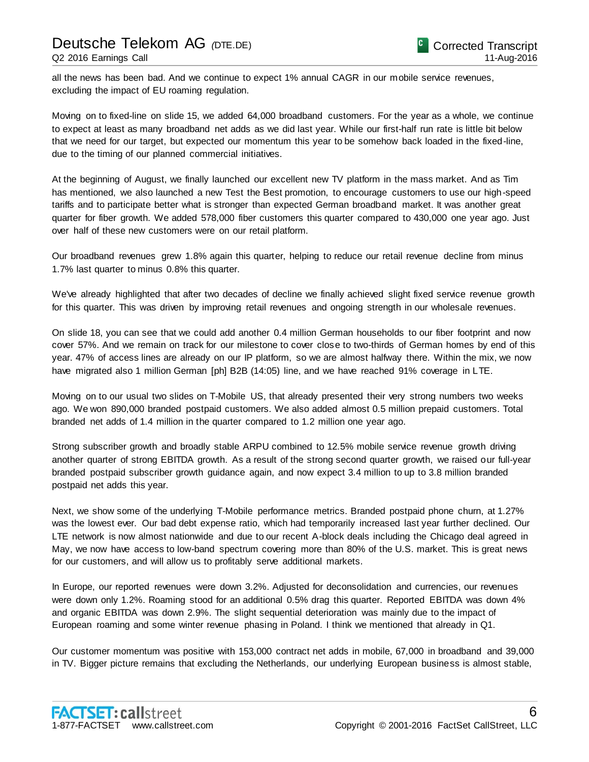all the news has been bad. And we continue to expect 1% annual CAGR in our mobile service revenues, excluding the impact of EU roaming regulation.

Moving on to fixed-line on slide 15, we added 64,000 broadband customers. For the year as a whole, we continue to expect at least as many broadband net adds as we did last year. While our first-half run rate is little bit below that we need for our target, but expected our momentum this year to be somehow back loaded in the fixed-line, due to the timing of our planned commercial initiatives.

At the beginning of August, we finally launched our excellent new TV platform in the mass market. And as Tim has mentioned, we also launched a new Test the Best promotion, to encourage customers to use our high-speed tariffs and to participate better what is stronger than expected German broadband market. It was another great quarter for fiber growth. We added 578,000 fiber customers this quarter compared to 430,000 one year ago. Just over half of these new customers were on our retail platform.

Our broadband revenues grew 1.8% again this quarter, helping to reduce our retail revenue decline from minus 1.7% last quarter to minus 0.8% this quarter.

We've already highlighted that after two decades of decline we finally achieved slight fixed service revenue growth for this quarter. This was driven by improving retail revenues and ongoing strength in our wholesale revenues.

On slide 18, you can see that we could add another 0.4 million German households to our fiber footprint and now cover 57%. And we remain on track for our milestone to cover close to two-thirds of German homes by end of this year. 47% of access lines are already on our IP platform, so we are almost halfway there. Within the mix, we now have migrated also 1 million German [ph] B2B (14:05) line, and we have reached 91% coverage in LTE.

Moving on to our usual two slides on T-Mobile US, that already presented their very strong numbers two weeks ago. We won 890,000 branded postpaid customers. We also added almost 0.5 million prepaid customers. Total branded net adds of 1.4 million in the quarter compared to 1.2 million one year ago.

Strong subscriber growth and broadly stable ARPU combined to 12.5% mobile service revenue growth driving another quarter of strong EBITDA growth. As a result of the strong second quarter growth, we raised our full-year branded postpaid subscriber growth guidance again, and now expect 3.4 million to up to 3.8 million branded postpaid net adds this year.

Next, we show some of the underlying T-Mobile performance metrics. Branded postpaid phone churn, at 1.27% was the lowest ever. Our bad debt expense ratio, which had temporarily increased last year further declined. Our LTE network is now almost nationwide and due to our recent A-block deals including the Chicago deal agreed in May, we now have access to low-band spectrum covering more than 80% of the U.S. market. This is great news for our customers, and will allow us to profitably serve additional markets.

In Europe, our reported revenues were down 3.2%. Adjusted for deconsolidation and currencies, our revenues were down only 1.2%. Roaming stood for an additional 0.5% drag this quarter. Reported EBITDA was down 4% and organic EBITDA was down 2.9%. The slight sequential deterioration was mainly due to the impact of European roaming and some winter revenue phasing in Poland. I think we mentioned that already in Q1.

Our customer momentum was positive with 153,000 contract net adds in mobile, 67,000 in broadband and 39,000 in TV. Bigger picture remains that excluding the Netherlands, our underlying European business is almost stable,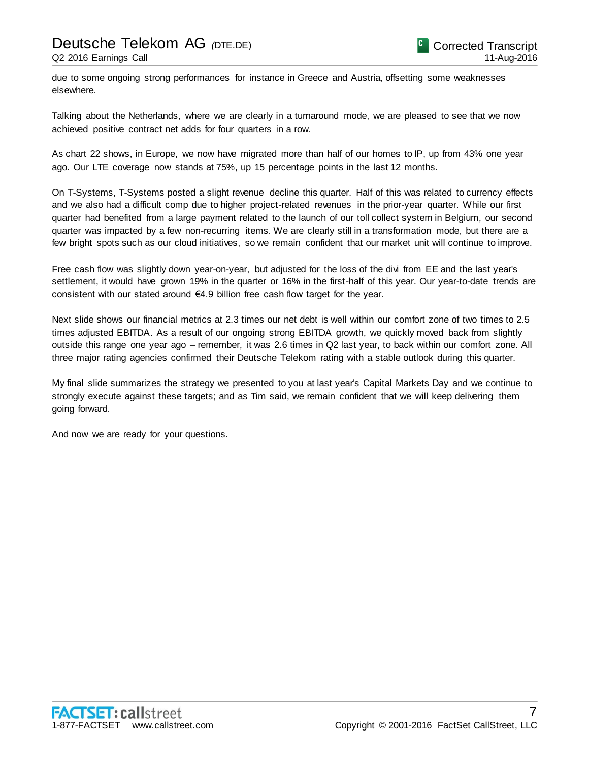due to some ongoing strong performances for instance in Greece and Austria, offsetting some weaknesses elsewhere.

Talking about the Netherlands, where we are clearly in a turnaround mode, we are pleased to see that we now achieved positive contract net adds for four quarters in a row.

As chart 22 shows, in Europe, we now have migrated more than half of our homes to IP, up from 43% one year ago. Our LTE coverage now stands at 75%, up 15 percentage points in the last 12 months.

On T-Systems, T-Systems posted a slight revenue decline this quarter. Half of this was related to currency effects and we also had a difficult comp due to higher project-related revenues in the prior-year quarter. While our first quarter had benefited from a large payment related to the launch of our toll collect system in Belgium, our second quarter was impacted by a few non-recurring items. We are clearly still in a transformation mode, but there are a few bright spots such as our cloud initiatives, so we remain confident that our market unit will continue to improve.

Free cash flow was slightly down year-on-year, but adjusted for the loss of the divi from EE and the last year's settlement, it would have grown 19% in the quarter or 16% in the first-half of this year. Our year-to-date trends are consistent with our stated around €4.9 billion free cash flow target for the year.

Next slide shows our financial metrics at 2.3 times our net debt is well within our comfort zone of two times to 2.5 times adjusted EBITDA. As a result of our ongoing strong EBITDA growth, we quickly moved back from slightly outside this range one year ago – remember, it was 2.6 times in Q2 last year, to back within our comfort zone. All three major rating agencies confirmed their Deutsche Telekom rating with a stable outlook during this quarter.

My final slide summarizes the strategy we presented to you at last year's Capital Markets Day and we continue to strongly execute against these targets; and as Tim said, we remain confident that we will keep delivering them going forward.

And now we are ready for your questions.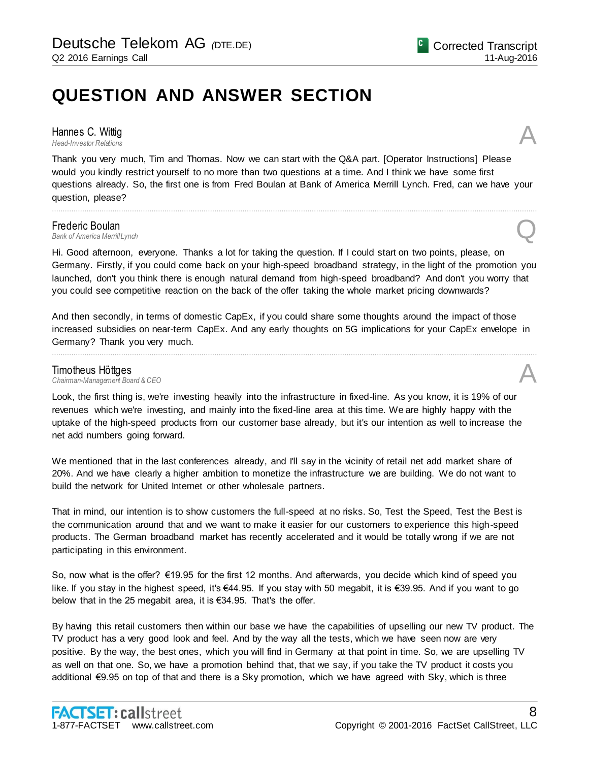## **QUESTION AND ANSWER SECTION**

**Hannes C. Wittig**<br>Head-Investor Relations *Head-Investor Relations* A

Thank you very much, Tim and Thomas. Now we can start with the Q&A part. [Operator Instructions] Please would you kindly restrict yourself to no more than two questions at a time. And I think we have some first questions already. So, the first one is from Fred Boulan at Bank of America Merrill Lynch. Fred, can we have your question, please?

................................................................................................................................................................................................................................

**Frederic Boulan**<br>Bank of America Merrill Lynch *Bank of America Merrill Lynch* Q

Hi. Good afternoon, everyone. Thanks a lot for taking the question. If I could start on two points, please, on Germany. Firstly, if you could come back on your high-speed broadband strategy, in the light of the promotion you launched, don't you think there is enough natural demand from high-speed broadband? And don't you worry that you could see competitive reaction on the back of the offer taking the whole market pricing downwards?

And then secondly, in terms of domestic CapEx, if you could share some thoughts around the impact of those increased subsidies on near-term CapEx. And any early thoughts on 5G implications for your CapEx envelope in Germany? Thank you very much.

................................................................................................................................................................................................................................

# *Chairman-Management Board & CEO* A

**Timotheus Höttges**<br>Chairman-Management Board & CEO

Look, the first thing is, we're investing heavily into the infrastructure in fixed-line. As you know, it is 19% of our revenues which we're investing, and mainly into the fixed-line area at this time. We are highly happy with the uptake of the high-speed products from our customer base already, but it's our intention as well to increase the net add numbers going forward.

We mentioned that in the last conferences already, and I'll say in the vicinity of retail net add market share of 20%. And we have clearly a higher ambition to monetize the infrastructure we are building. We do not want to build the network for United Internet or other wholesale partners.

That in mind, our intention is to show customers the full-speed at no risks. So, Test the Speed, Test the Best is the communication around that and we want to make it easier for our customers to experience this high-speed products. The German broadband market has recently accelerated and it would be totally wrong if we are not participating in this environment.

So, now what is the offer? €19.95 for the first 12 months. And afterwards, you decide which kind of speed you like. If you stay in the highest speed, it's €44.95. If you stay with 50 megabit, it is €39.95. And if you want to go below that in the 25 megabit area, it is €34.95. That's the offer.

By having this retail customers then within our base we have the capabilities of upselling our new TV product. The TV product has a very good look and feel. And by the way all the tests, which we have seen now are very positive. By the way, the best ones, which you will find in Germany at that point in time. So, we are upselling TV as well on that one. So, we have a promotion behind that, that we say, if you take the TV product it costs you additional €9.95 on top of that and there is a Sky promotion, which we have agreed with Sky, which is three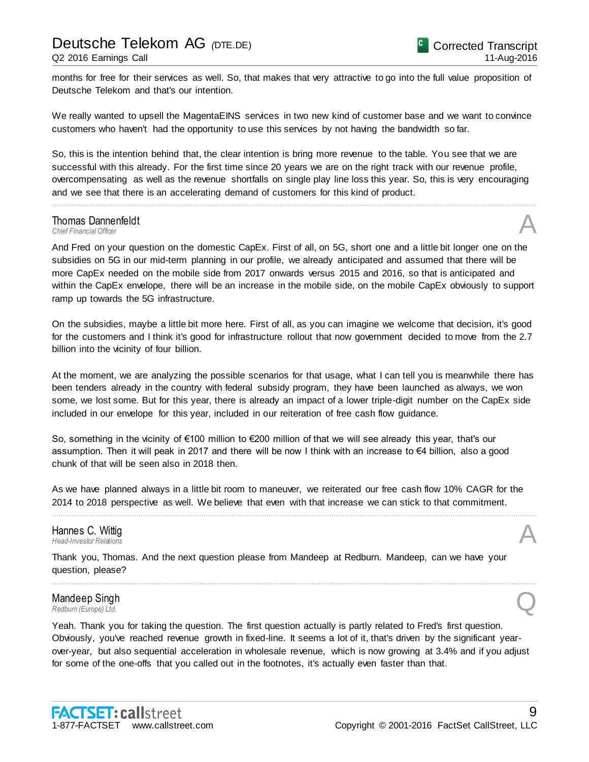months for free for their services as well. So, that makes that very attractive to go into the full value proposition of Deutsche Telekom and that's our intention.

We really wanted to upsell the MagentaEINS services in two new kind of customer base and we want to convince customers who haven't had the opportunity to use this services by not having the bandwidth so far.

So, this is the intention behind that, the clear intention is bring more revenue to the table. You see that we are successful with this already. For the first time since 20 years we are on the right track with our revenue profile, overcompensating as well as the revenue shortfalls on single play line loss this year. So, this is very encouraging and we see that there is an accelerating demand of customers for this kind of product.

................................................................................................................................................................................................................................

### **Thomas Dannenfeldt**<br>Chief Financial Officer **Thomas Dannenfeldt**<br>
Chief Financial Officer<br> **A**

And Fred on your question on the domestic CapEx. First of all, on 5G, short one and a little bit longer one on the subsidies on 5G in our mid-term planning in our profile, we already anticipated and assumed that there will be more CapEx needed on the mobile side from 2017 onwards versus 2015 and 2016, so that is anticipated and within the CapEx envelope, there will be an increase in the mobile side, on the mobile CapEx obviously to support ramp up towards the 5G infrastructure.

On the subsidies, maybe a little bit more here. First of all, as you can imagine we welcome that decision, it's good for the customers and I think it's good for infrastructure rollout that now government decided to move from the 2.7 billion into the vicinity of four billion.

At the moment, we are analyzing the possible scenarios for that usage, what I can tell you is meanwhile there has been tenders already in the country with federal subsidy program, they have been launched as always, we won some, we lost some. But for this year, there is already an impact of a lower triple-digit number on the CapEx side included in our envelope for this year, included in our reiteration of free cash flow guidance.

So, something in the vicinity of €100 million to €200 million of that we will see already this year, that's our assumption. Then it will peak in 2017 and there will be now I think with an increase to €4 billion, also a good chunk of that will be seen also in 2018 then.

As we have planned always in a little bit room to maneuver, we reiterated our free cash flow 10% CAGR for the 2014 to 2018 perspective as well. We believe that even with that increase we can stick to that commitment.

................................................................................................................................................................................................................................

................................................................................................................................................................................................................................

### Hannes C. Wittig *Head-Investor Relations* A

Thank you, Thomas. And the next question please from Mandeep at Redburn. Mandeep, can we have your question, please?

### Mandeep Singh **Mandeep Singh<br>**Redburn (Europe) Ltd.

Yeah. Thank you for taking the question. The first question actually is partly related to Fred's first question. Obviously, you've reached revenue growth in fixed-line. It seems a lot of it, that's driven by the significant yearover-year, but also sequential acceleration in wholesale revenue, which is now growing at 3.4% and if you adjust for some of the one-offs that you called out in the footnotes, it's actually even faster than that.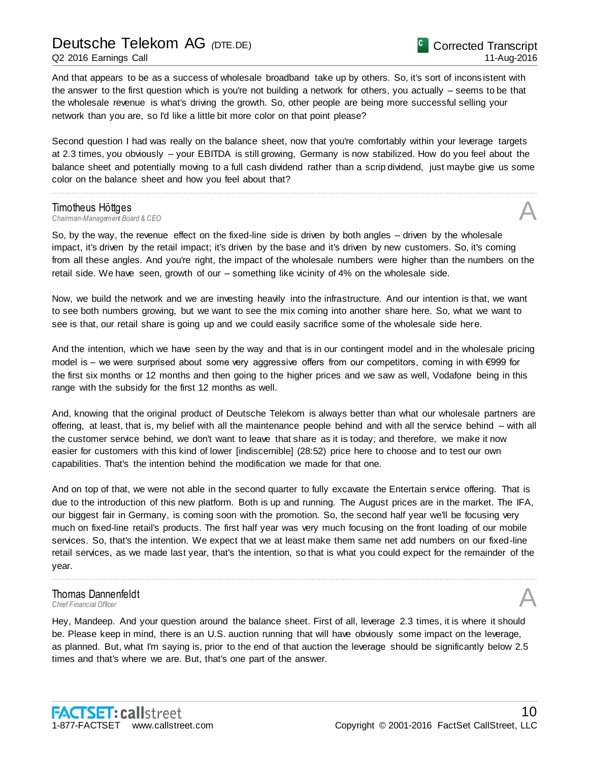And that appears to be as a success of wholesale broadband take up by others. So, it's sort of incons istent with the answer to the first question which is you're not building a network for others, you actually – seems to be that the wholesale revenue is what's driving the growth. So, other people are being more successful selling your network than you are, so I'd like a little bit more color on that point please?

Second question I had was really on the balance sheet, now that you're comfortably within your leverage targets at 2.3 times, you obviously – your EBITDA is still growing, Germany is now stabilized. How do you feel about the balance sheet and potentially moving to a full cash dividend rather than a scrip dividend, just maybe give us some color on the balance sheet and how you feel about that?

................................................................................................................................................................................................................................

**Timotheus Höttges**<br>Chairman-Management Board & CEO *Chairman-Management Board & CEO* A

So, by the way, the revenue effect on the fixed-line side is driven by both angles – driven by the wholesale impact, it's driven by the retail impact; it's driven by the base and it's driven by new customers. So, it's coming from all these angles. And you're right, the impact of the wholesale numbers were higher than the numbers on the retail side. We have seen, growth of our – something like vicinity of 4% on the wholesale side.

Now, we build the network and we are investing heavily into the infrastructure. And our intention is that, we want to see both numbers growing, but we want to see the mix coming into another share here. So, what we want to see is that, our retail share is going up and we could easily sacrifice some of the wholesale side here.

And the intention, which we have seen by the way and that is in our contingent model and in the wholesale pricing model is – we were surprised about some very aggressive offers from our competitors, coming in with €999 for the first six months or 12 months and then going to the higher prices and we saw as well, Vodafone being in this range with the subsidy for the first 12 months as well.

And, knowing that the original product of Deutsche Telekom is always better than what our wholesale partners are offering, at least, that is, my belief with all the maintenance people behind and with all the service behind – with all the customer service behind, we don't want to leave that share as it is today; and therefore, we make it now easier for customers with this kind of lower [indiscernible] (28:52) price here to choose and to test our own capabilities. That's the intention behind the modification we made for that one.

And on top of that, we were not able in the second quarter to fully excavate the Entertain service offering. That is due to the introduction of this new platform. Both is up and running. The August prices are in the market. The IFA, our biggest fair in Germany, is coming soon with the promotion. So, the second half year we'll be focusing very much on fixed-line retail's products. The first half year was very much focusing on the front loading of our mobile services. So, that's the intention. We expect that we at least make them same net add numbers on our fixed-line retail services, as we made last year, that's the intention, so that is what you could expect for the remainder of the year.

................................................................................................................................................................................................................................

### Thomas Dannenfeldt **Thomas Dannenfeldt**<br>
Chief Financial Officer<br> **A**

Hey, Mandeep. And your question around the balance sheet. First of all, leverage 2.3 times, it is where it should be. Please keep in mind, there is an U.S. auction running that will have obviously some impact on the leverage, as planned. But, what I'm saying is, prior to the end of that auction the leverage should be significantly below 2.5 times and that's where we are. But, that's one part of the answer.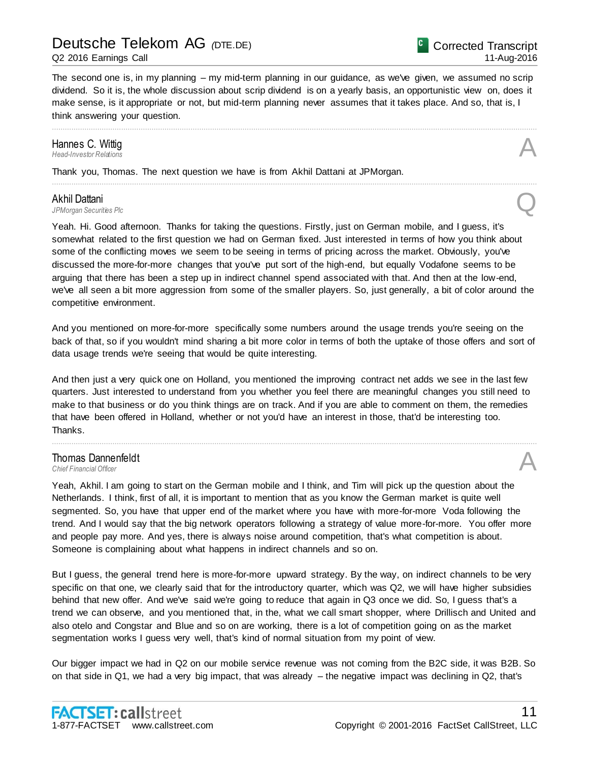#### Q2 2016 Earnings Call

Corrected Transcript 11-Aug-2016

The second one is, in my planning – my mid-term planning in our guidance, as we've given, we assumed no scrip dividend. So it is, the whole discussion about scrip dividend is on a yearly basis, an opportunistic view on, does it make sense, is it appropriate or not, but mid-term planning never assumes that it takes place. And so, that is, I think answering your question.

................................................................................................................................................................................................................................

................................................................................................................................................................................................................................

### Hannes C. Wittig<br>Head-Investor Relations *Head-Investor Relations* A

Thank you, Thomas. The next question we have is from Akhil Dattani at JPMorgan.

#### Akhil Dattani

*JPMorgan Securities Plc* Q

Yeah. Hi. Good afternoon. Thanks for taking the questions. Firstly, just on German mobile, and I guess, it's somewhat related to the first question we had on German fixed. Just interested in terms of how you think about some of the conflicting moves we seem to be seeing in terms of pricing across the market. Obviously, you've discussed the more-for-more changes that you've put sort of the high-end, but equally Vodafone seems to be arguing that there has been a step up in indirect channel spend associated with that. And then at the low-end, we've all seen a bit more aggression from some of the smaller players. So, just generally, a bit of color around the competitive environment.

And you mentioned on more-for-more specifically some numbers around the usage trends you're seeing on the back of that, so if you wouldn't mind sharing a bit more color in terms of both the uptake of those offers and sort of data usage trends we're seeing that would be quite interesting.

And then just a very quick one on Holland, you mentioned the improving contract net adds we see in the last few quarters. Just interested to understand from you whether you feel there are meaningful changes you still need to make to that business or do you think things are on track. And if you are able to comment on them, the remedies that have been offered in Holland, whether or not you'd have an interest in those, that'd be interesting too. Thanks.

................................................................................................................................................................................................................................

### **Thomas Dannenfeldt**<br>Chief Financial Officer **Thomas Dannenfeldt**<br>
Chief Financial Officer<br> **A**

Yeah, Akhil. I am going to start on the German mobile and I think, and Tim will pick up the question about the Netherlands. I think, first of all, it is important to mention that as you know the German market is quite well segmented. So, you have that upper end of the market where you have with more-for-more Voda following the trend. And I would say that the big network operators following a strategy of value more-for-more. You offer more and people pay more. And yes, there is always noise around competition, that's what competition is about. Someone is complaining about what happens in indirect channels and so on.

But I guess, the general trend here is more-for-more upward strategy. By the way, on indirect channels to be very specific on that one, we clearly said that for the introductory quarter, which was Q2, we will have higher subsidies behind that new offer. And we've said we're going to reduce that again in Q3 once we did. So, I guess that's a trend we can observe, and you mentioned that, in the, what we call smart shopper, where Drillisch and United and also otelo and Congstar and Blue and so on are working, there is a lot of competition going on as the market segmentation works I guess very well, that's kind of normal situation from my point of view.

Our bigger impact we had in Q2 on our mobile service revenue was not coming from the B2C side, it was B2B. So on that side in Q1, we had a very big impact, that was already – the negative impact was declining in Q2, that's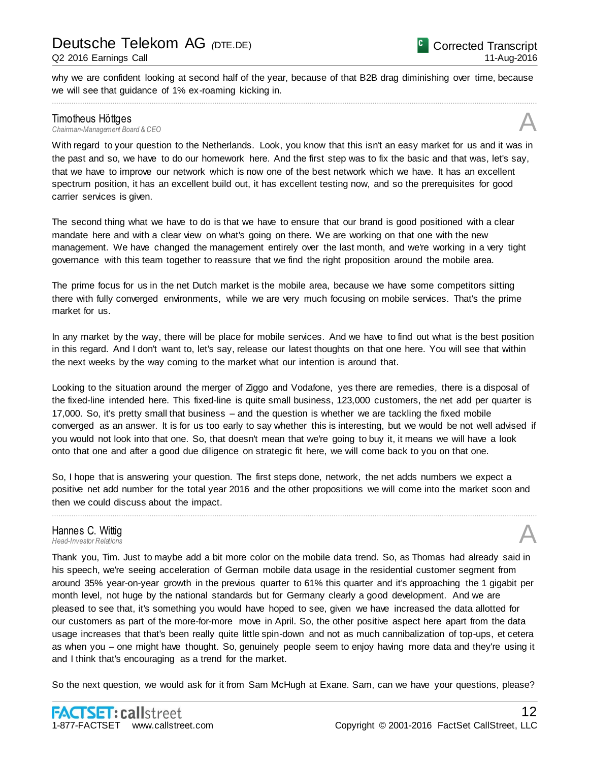why we are confident looking at second half of the year, because of that B2B drag diminishing over time, because we will see that guidance of 1% ex-roaming kicking in. ................................................................................................................................................................................................................................

**Timotheus Höttges**<br>Chairman-Management Board & CEO *Chairman-Management Board & CEO* A

With regard to your question to the Netherlands. Look, you know that this isn't an easy market for us and it was in the past and so, we have to do our homework here. And the first step was to fix the basic and that was, let's say, that we have to improve our network which is now one of the best network which we have. It has an excellent spectrum position, it has an excellent build out, it has excellent testing now, and so the prerequisites for good carrier services is given.

The second thing what we have to do is that we have to ensure that our brand is good positioned with a clear mandate here and with a clear view on what's going on there. We are working on that one with the new management. We have changed the management entirely over the last month, and we're working in a very tight governance with this team together to reassure that we find the right proposition around the mobile area.

The prime focus for us in the net Dutch market is the mobile area, because we have some competitors sitting there with fully converged environments, while we are very much focusing on mobile services. That's the prime market for us.

In any market by the way, there will be place for mobile services. And we have to find out what is the best position in this regard. And I don't want to, let's say, release our latest thoughts on that one here. You will see that within the next weeks by the way coming to the market what our intention is around that.

Looking to the situation around the merger of Ziggo and Vodafone, yes there are remedies, there is a disposal of the fixed-line intended here. This fixed-line is quite small business, 123,000 customers, the net add per quarter is 17,000. So, it's pretty small that business – and the question is whether we are tackling the fixed mobile converged as an answer. It is for us too early to say whether this is interesting, but we would be not well advised if you would not look into that one. So, that doesn't mean that we're going to buy it, it means we will have a look onto that one and after a good due diligence on strategic fit here, we will come back to you on that one.

So, I hope that is answering your question. The first steps done, network, the net adds numbers we expect a positive net add number for the total year 2016 and the other propositions we will come into the market soon and then we could discuss about the impact.

................................................................................................................................................................................................................................

### Hannes C. Wittig *Head-Investor Relations* A

Thank you, Tim. Just to maybe add a bit more color on the mobile data trend. So, as Thomas had already said in his speech, we're seeing acceleration of German mobile data usage in the residential customer segment from around 35% year-on-year growth in the previous quarter to 61% this quarter and it's approaching the 1 gigabit per month level, not huge by the national standards but for Germany clearly a good development. And we are pleased to see that, it's something you would have hoped to see, given we have increased the data allotted for our customers as part of the more-for-more move in April. So, the other positive aspect here apart from the data usage increases that that's been really quite little spin-down and not as much cannibalization of top-ups, et cetera as when you – one might have thought. So, genuinely people seem to enjoy having more data and they're using it and I think that's encouraging as a trend for the market.

So the next question, we would ask for it from Sam McHugh at Exane. Sam, can we have your questions, please?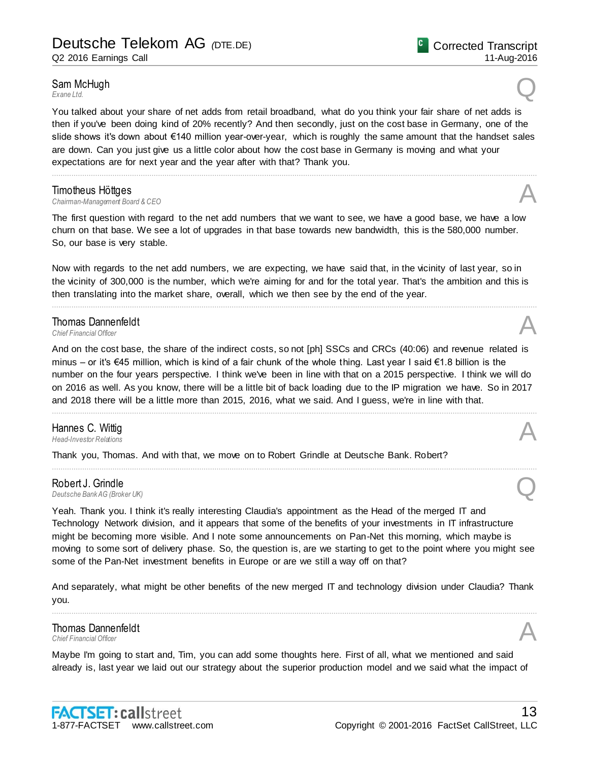### Sam McHugh<br>Exane Ltd. **Sam McHugh**<br>Exane Ltd.

You talked about your share of net adds from retail broadband, what do you think your fair share of net adds is then if you've been doing kind of 20% recently? And then secondly, just on the cost base in Germany, one of the slide shows it's down about €140 million year-over-year, which is roughly the same amount that the handset sales are down. Can you just give us a little color about how the cost base in Germany is moving and what your expectations are for next year and the year after with that? Thank you.

................................................................................................................................................................................................................................

**Timotheus Höttges**<br>Chairman-Management Board & CEO *Chairman-Management Board & CEO* A

The first question with regard to the net add numbers that we want to see, we have a good base, we have a low churn on that base. We see a lot of upgrades in that base towards new bandwidth, this is the 580,000 number. So, our base is very stable.

Now with regards to the net add numbers, we are expecting, we have said that, in the vicinity of last year, so in the vicinity of 300,000 is the number, which we're aiming for and for the total year. That's the ambition and this is then translating into the market share, overall, which we then see by the end of the year.

................................................................................................................................................................................................................................

### **Thomas Dannenfeldt**<br>Chief Financial Officer **Thomas Dannenfeldt**<br>
Chief Financial Officer<br> **A**

And on the cost base, the share of the indirect costs, so not [ph] SSCs and CRCs (40:06) and revenue related is minus – or it's €45 million, which is kind of a fair chunk of the whole thing. Last year I said €1.8 billion is the number on the four years perspective. I think we've been in line with that on a 2015 perspective. I think we will do on 2016 as well. As you know, there will be a little bit of back loading due to the IP migration we have. So in 2017 and 2018 there will be a little more than 2015, 2016, what we said. And I guess, we're in line with that.

................................................................................................................................................................................................................................

................................................................................................................................................................................................................................

### Hannes C. Wittig *Head-Investor Relations* A

Thank you, Thomas. And with that, we move on to Robert Grindle at Deutsche Bank. Robert?

#### Robert J. Grindle

**Robert J. Grindle**<br>Deutsche Bank AG (Broker UK)

Yeah. Thank you. I think it's really interesting Claudia's appointment as the Head of the merged IT and Technology Network division, and it appears that some of the benefits of your investments in IT infrastructure might be becoming more visible. And I note some announcements on Pan-Net this morning, which maybe is moving to some sort of delivery phase. So, the question is, are we starting to get to the point where you might see some of the Pan-Net investment benefits in Europe or are we still a way off on that?

And separately, what might be other benefits of the new merged IT and technology division under Claudia? Thank you. ................................................................................................................................................................................................................................

### Thomas Dannenfeldt **Thomas Dannenfeldt**<br>
Chief Financial Officer<br> **A**

Maybe I'm going to start and, Tim, you can add some thoughts here. First of all, what we mentioned and said already is, last year we laid out our strategy about the superior production model and we said what the impact of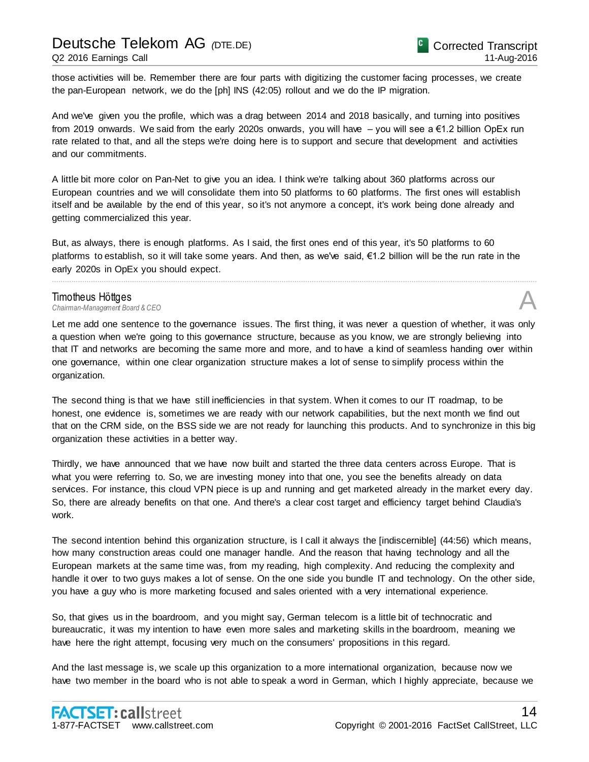### Deutsche Telekom AG *(*DTE.DE) Q2 2016 Earnings Call

those activities will be. Remember there are four parts with digitizing the customer facing processes, we create the pan-European network, we do the [ph] INS (42:05) rollout and we do the IP migration.

And we've given you the profile, which was a drag between 2014 and 2018 basically, and turning into positives from 2019 onwards. We said from the early 2020s onwards, you will have  $-$  you will see a  $\epsilon$ 1.2 billion OpEx run rate related to that, and all the steps we're doing here is to support and secure that development and activities and our commitments.

A little bit more color on Pan-Net to give you an idea. I think we're talking about 360 platforms across our European countries and we will consolidate them into 50 platforms to 60 platforms. The first ones will establish itself and be available by the end of this year, so it's not anymore a concept, it's work being done already and getting commercialized this year.

But, as always, there is enough platforms. As I said, the first ones end of this year, it's 50 platforms to 60 platforms to establish, so it will take some years. And then, as we've said, €1.2 billion will be the run rate in the early 2020s in OpEx you should expect.

................................................................................................................................................................................................................................

**Timotheus Höttges**<br>Chairman-Management Board & CEO *Chairman-Management Board & CEO* A

Let me add one sentence to the governance issues. The first thing, it was never a question of whether, it was only a question when we're going to this governance structure, because as you know, we are strongly believing into that IT and networks are becoming the same more and more, and to have a kind of seamless handing over within one governance, within one clear organization structure makes a lot of sense to simplify process within the organization.

The second thing is that we have still inefficiencies in that system. When it comes to our IT roadmap, to be honest, one evidence is, sometimes we are ready with our network capabilities, but the next month we find out that on the CRM side, on the BSS side we are not ready for launching this products. And to synchronize in this big organization these activities in a better way.

Thirdly, we have announced that we have now built and started the three data centers across Europe. That is what you were referring to. So, we are investing money into that one, you see the benefits already on data services. For instance, this cloud VPN piece is up and running and get marketed already in the market every day. So, there are already benefits on that one. And there's a clear cost target and efficiency target behind Claudia's work.

The second intention behind this organization structure, is I call it always the [indiscernible] (44:56) which means, how many construction areas could one manager handle. And the reason that having technology and all the European markets at the same time was, from my reading, high complexity. And reducing the complexity and handle it over to two guys makes a lot of sense. On the one side you bundle IT and technology. On the other side, you have a guy who is more marketing focused and sales oriented with a very international experience.

So, that gives us in the boardroom, and you might say, German telecom is a little bit of technocratic and bureaucratic, it was my intention to have even more sales and marketing skills in the boardroom, meaning we have here the right attempt, focusing very much on the consumers' propositions in this regard.

And the last message is, we scale up this organization to a more international organization, because now we have two member in the board who is not able to speak a word in German, which I highly appreciate, because we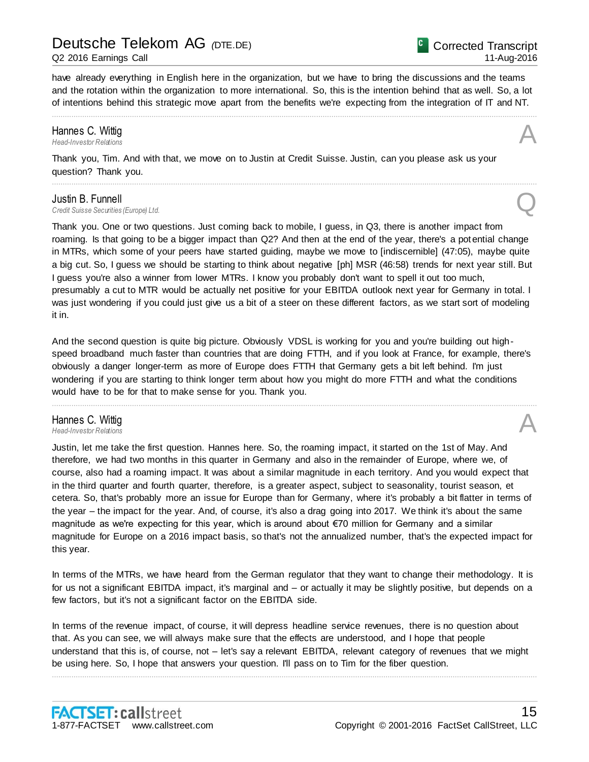#### Q2 2016 Earnings Call

have already everything in English here in the organization, but we have to bring the discussions and the teams and the rotation within the organization to more international. So, this is the intention behind that as well. So, a lot of intentions behind this strategic move apart from the benefits we're expecting from the integration of IT and NT.

................................................................................................................................................................................................................................

................................................................................................................................................................................................................................

### **Hannes C. Wittig**<br>Head-Investor Relations *Head-Investor Relations* A

Thank you, Tim. And with that, we move on to Justin at Credit Suisse. Justin, can you please ask us your question? Thank you.

#### Justin B. Funnell

**Justin B. Funnell**<br>Credit Suisse Securities (Europe) Ltd.

Thank you. One or two questions. Just coming back to mobile, I guess, in Q3, there is another impact from roaming. Is that going to be a bigger impact than Q2? And then at the end of the year, there's a potential change in MTRs, which some of your peers have started guiding, maybe we move to [indiscernible] (47:05), maybe quite a big cut. So, I guess we should be starting to think about negative [ph] MSR (46:58) trends for next year still. But I guess you're also a winner from lower MTRs. I know you probably don't want to spell it out too much, presumably a cut to MTR would be actually net positive for your EBITDA outlook next year for Germany in total. I was just wondering if you could just give us a bit of a steer on these different factors, as we start sort of modeling it in.

And the second question is quite big picture. Obviously VDSL is working for you and you're building out highspeed broadband much faster than countries that are doing FTTH, and if you look at France, for example, there's obviously a danger longer-term as more of Europe does FTTH that Germany gets a bit left behind. I'm just wondering if you are starting to think longer term about how you might do more FTTH and what the conditions would have to be for that to make sense for you. Thank you.

................................................................................................................................................................................................................................

### Hannes C. Wittig *Head-Investor Relations* A

Justin, let me take the first question. Hannes here. So, the roaming impact, it started on the 1st of May. And therefore, we had two months in this quarter in Germany and also in the remainder of Europe, where we, of course, also had a roaming impact. It was about a similar magnitude in each territory. And you would expect that in the third quarter and fourth quarter, therefore, is a greater aspect, subject to seasonality, tourist season, et cetera. So, that's probably more an issue for Europe than for Germany, where it's probably a bit flatter in terms of the year – the impact for the year. And, of course, it's also a drag going into 2017. We think it's about the same magnitude as we're expecting for this year, which is around about €70 million for Germany and a similar magnitude for Europe on a 2016 impact basis, so that's not the annualized number, that's the expected impact for this year.

In terms of the MTRs, we have heard from the German regulator that they want to change their methodology. It is for us not a significant EBITDA impact, it's marginal and – or actually it may be slightly positive, but depends on a few factors, but it's not a significant factor on the EBITDA side.

In terms of the revenue impact, of course, it will depress headline service revenues, there is no question about that. As you can see, we will always make sure that the effects are understood, and I hope that people understand that this is, of course, not – let's say a relevant EBITDA, relevant category of revenues that we might be using here. So, I hope that answers your question. I'll pass on to Tim for the fiber question.

................................................................................................................................................................................................................................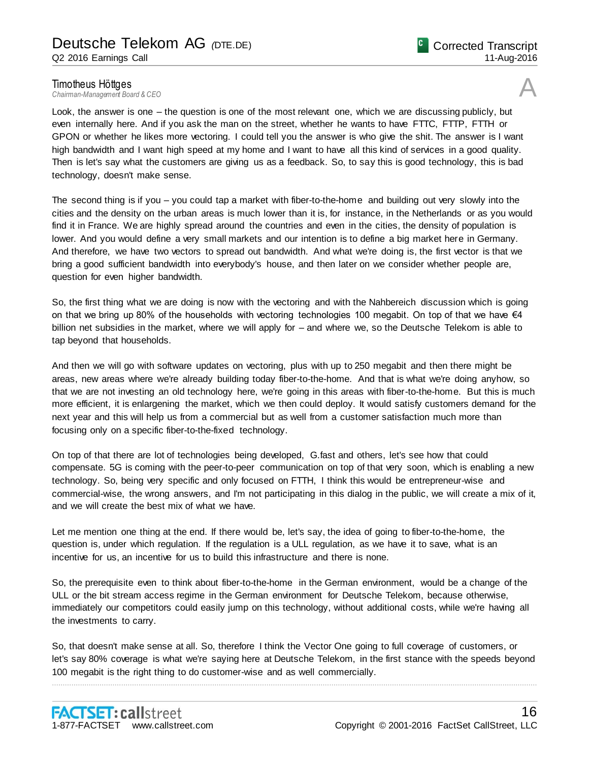**Timotheus Höttges**<br>Chairman-Management Board & CEO *Chairman-Management Board & CEO* A

Look, the answer is one – the question is one of the most relevant one, which we are discussing publicly, but even internally here. And if you ask the man on the street, whether he wants to have FTTC, FTTP, FTTH or GPON or whether he likes more vectoring. I could tell you the answer is who give the shit. The answer is I want high bandwidth and I want high speed at my home and I want to have all this kind of services in a good quality. Then is let's say what the customers are giving us as a feedback. So, to say this is good technology, this is bad technology, doesn't make sense.

The second thing is if you – you could tap a market with fiber-to-the-home and building out very slowly into the cities and the density on the urban areas is much lower than it is, for instance, in the Netherlands or as you would find it in France. We are highly spread around the countries and even in the cities, the density of population is lower. And you would define a very small markets and our intention is to define a big market here in Germany. And therefore, we have two vectors to spread out bandwidth. And what we're doing is, the first vector is that we bring a good sufficient bandwidth into everybody's house, and then later on we consider whether people are, question for even higher bandwidth.

So, the first thing what we are doing is now with the vectoring and with the Nahbereich discussion which is going on that we bring up 80% of the households with vectoring technologies 100 megabit. On top of that we have  $\epsilon 4$ billion net subsidies in the market, where we will apply for – and where we, so the Deutsche Telekom is able to tap beyond that households.

And then we will go with software updates on vectoring, plus with up to 250 megabit and then there might be areas, new areas where we're already building today fiber-to-the-home. And that is what we're doing anyhow, so that we are not investing an old technology here, we're going in this areas with fiber-to-the-home. But this is much more efficient, it is enlargening the market, which we then could deploy. It would satisfy customers demand for the next year and this will help us from a commercial but as well from a customer satisfaction much more than focusing only on a specific fiber-to-the-fixed technology.

On top of that there are lot of technologies being developed, G.fast and others, let's see how that could compensate. 5G is coming with the peer-to-peer communication on top of that very soon, which is enabling a new technology. So, being very specific and only focused on FTTH, I think this would be entrepreneur-wise and commercial-wise, the wrong answers, and I'm not participating in this dialog in the public, we will create a mix of it, and we will create the best mix of what we have.

Let me mention one thing at the end. If there would be, let's say, the idea of going to fiber-to-the-home, the question is, under which regulation. If the regulation is a ULL regulation, as we have it to save, what is an incentive for us, an incentive for us to build this infrastructure and there is none.

So, the prerequisite even to think about fiber-to-the-home in the German environment, would be a change of the ULL or the bit stream access regime in the German environment for Deutsche Telekom, because otherwise, immediately our competitors could easily jump on this technology, without additional costs, while we're having all the investments to carry.

So, that doesn't make sense at all. So, therefore I think the Vector One going to full coverage of customers, or let's say 80% coverage is what we're saying here at Deutsche Telekom, in the first stance with the speeds beyond 100 megabit is the right thing to do customer-wise and as well commercially.

................................................................................................................................................................................................................................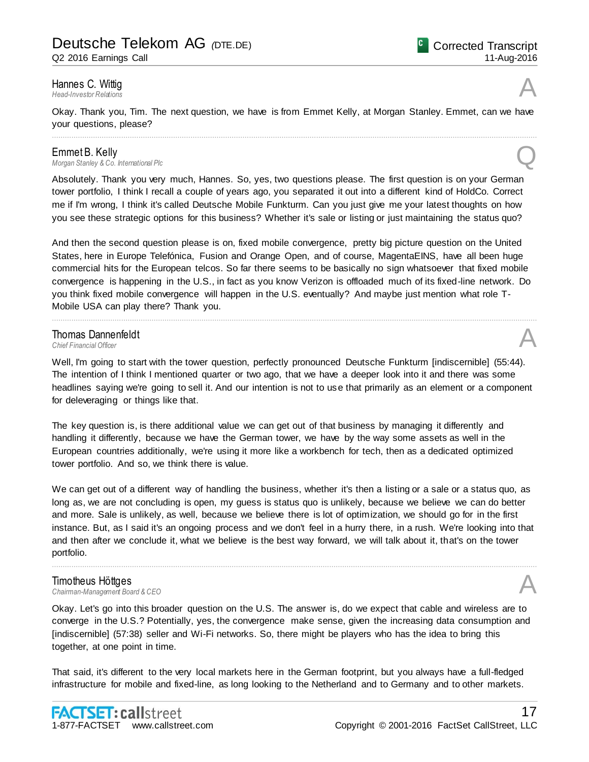Q2 2016 Earnings Call

### Hannes C. Wittig<br>Head-Investor Relations *Head-Investor Relations* A

Okay. Thank you, Tim. The next question, we have is from Emmet Kelly, at Morgan Stanley. Emmet, can we have your questions, please?

**Emmet B. Kelly**<br>Morgan Stanley & Co. International Plc *Morgan Stanley & Co. International Plc* Q

Absolutely. Thank you very much, Hannes. So, yes, two questions please. The first question is on your German tower portfolio, I think I recall a couple of years ago, you separated it out into a different kind of HoldCo. Correct me if I'm wrong, I think it's called Deutsche Mobile Funkturm. Can you just give me your latest thoughts on how you see these strategic options for this business? Whether it's sale or listing or just maintaining the status quo?

................................................................................................................................................................................................................................

And then the second question please is on, fixed mobile convergence, pretty big picture question on the United States, here in Europe Telefónica, Fusion and Orange Open, and of course, MagentaEINS, have all been huge commercial hits for the European telcos. So far there seems to be basically no sign whatsoever that fixed mobile convergence is happening in the U.S., in fact as you know Verizon is offloaded much of its fixed-line network. Do you think fixed mobile convergence will happen in the U.S. eventually? And maybe just mention what role T-Mobile USA can play there? Thank you.

................................................................................................................................................................................................................................

### **Thomas Dannenfeldt**<br>Chief Financial Officer **Thomas Dannenfeldt**<br>
Chief Financial Officer<br> **A**

Well, I'm going to start with the tower question, perfectly pronounced Deutsche Funkturm [indiscernible] (55:44). The intention of I think I mentioned quarter or two ago, that we have a deeper look into it and there was some headlines saying we're going to sell it. And our intention is not to use that primarily as an element or a component for deleveraging or things like that.

The key question is, is there additional value we can get out of that business by managing it differently and handling it differently, because we have the German tower, we have by the way some assets as well in the European countries additionally, we're using it more like a workbench for tech, then as a dedicated optimized tower portfolio. And so, we think there is value.

We can get out of a different way of handling the business, whether it's then a listing or a sale or a status quo, as long as, we are not concluding is open, my guess is status quo is unlikely, because we believe we can do better and more. Sale is unlikely, as well, because we believe there is lot of optimization, we should go for in the first instance. But, as I said it's an ongoing process and we don't feel in a hurry there, in a rush. We're looking into that and then after we conclude it, what we believe is the best way forward, we will talk about it, that's on the tower portfolio.

................................................................................................................................................................................................................................

# **Timotheus Höttges**<br>Chairman-Management Board & CEO

*Chairman-Management Board & CEO* A

Okay. Let's go into this broader question on the U.S. The answer is, do we expect that cable and wireless are to converge in the U.S.? Potentially, yes, the convergence make sense, given the increasing data consumption and [indiscernible] (57:38) seller and Wi-Fi networks. So, there might be players who has the idea to bring this together, at one point in time.

That said, it's different to the very local markets here in the German footprint, but you always have a full-fledged infrastructure for mobile and fixed-line, as long looking to the Netherland and to Germany and to other markets.



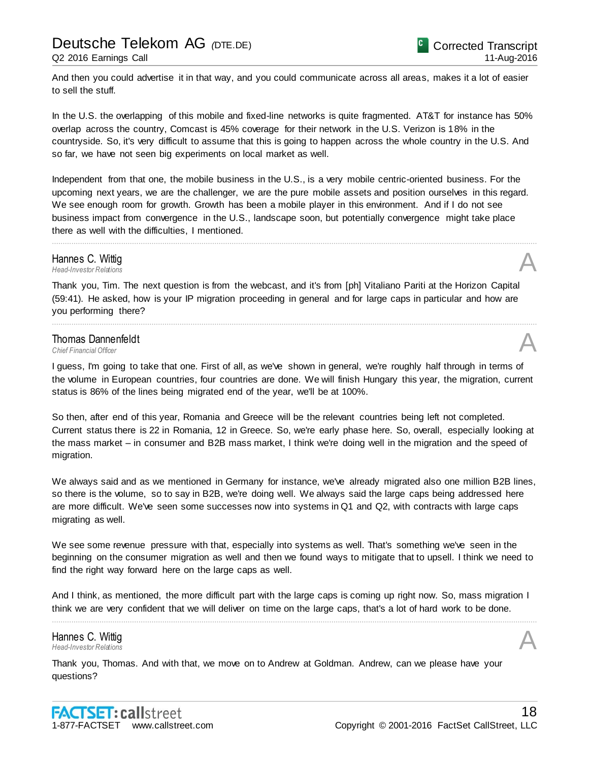And then you could advertise it in that way, and you could communicate across all areas, makes it a lot of easier to sell the stuff.

In the U.S. the overlapping of this mobile and fixed-line networks is quite fragmented. AT&T for instance has 50% overlap across the country, Comcast is 45% coverage for their network in the U.S. Verizon is 18% in the countryside. So, it's very difficult to assume that this is going to happen across the whole country in the U.S. And so far, we have not seen big experiments on local market as well.

Independent from that one, the mobile business in the U.S., is a very mobile centric-oriented business. For the upcoming next years, we are the challenger, we are the pure mobile assets and position ourselves in this regard. We see enough room for growth. Growth has been a mobile player in this environment. And if I do not see business impact from convergence in the U.S., landscape soon, but potentially convergence might take place there as well with the difficulties, I mentioned.

................................................................................................................................................................................................................................

Hannes C. Wittig<br>Head-Investor Relations *Head-Investor Relations* A

Thank you, Tim. The next question is from the webcast, and it's from [ph] Vitaliano Pariti at the Horizon Capital (59:41). He asked, how is your IP migration proceeding in general and for large caps in particular and how are you performing there?

### Thomas Dannenfeldt **Thomas Dannenfeldt**<br>
Chief Financial Officer<br> **A**

I guess, I'm going to take that one. First of all, as we've shown in general, we're roughly half through in terms of the volume in European countries, four countries are done. We will finish Hungary this year, the migration, current status is 86% of the lines being migrated end of the year, we'll be at 100%.

................................................................................................................................................................................................................................

So then, after end of this year, Romania and Greece will be the relevant countries being left not completed. Current status there is 22 in Romania, 12 in Greece. So, we're early phase here. So, overall, especially looking at the mass market – in consumer and B2B mass market, I think we're doing well in the migration and the speed of migration.

We always said and as we mentioned in Germany for instance, we've already migrated also one million B2B lines, so there is the volume, so to say in B2B, we're doing well. We always said the large caps being addressed here are more difficult. We've seen some successes now into systems in Q1 and Q2, with contracts with large caps migrating as well.

We see some revenue pressure with that, especially into systems as well. That's something we've seen in the beginning on the consumer migration as well and then we found ways to mitigate that to upsell. I think we need to find the right way forward here on the large caps as well.

And I think, as mentioned, the more difficult part with the large caps is coming up right now. So, mass migration I think we are very confident that we will deliver on time on the large caps, that's a lot of hard work to be done. ................................................................................................................................................................................................................................

Hannes C. Wittig *Head-Investor Relations* A

Thank you, Thomas. And with that, we move on to Andrew at Goldman. Andrew, can we please have your questions?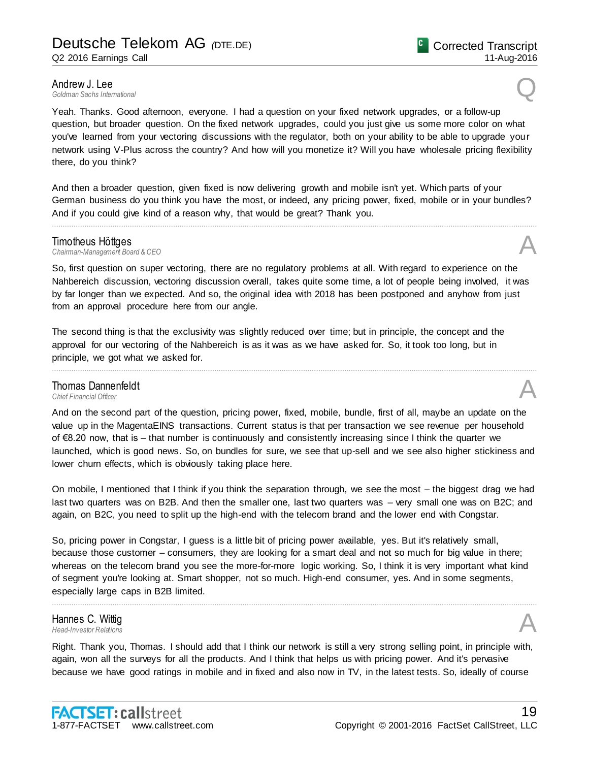**Andrew J. Lee**<br>Goldman Sachs International *Goldman Sachs International* Q

Yeah. Thanks. Good afternoon, everyone. I had a question on your fixed network upgrades, or a follow-up question, but broader question. On the fixed network upgrades, could you just give us some more color on what you've learned from your vectoring discussions with the regulator, both on your ability to be able to upgrade your network using V-Plus across the country? And how will you monetize it? Will you have wholesale pricing flexibility there, do you think?

And then a broader question, given fixed is now delivering growth and mobile isn't yet. Which parts of your German business do you think you have the most, or indeed, any pricing power, fixed, mobile or in your bundles? And if you could give kind of a reason why, that would be great? Thank you.

................................................................................................................................................................................................................................

**Timotheus Höttges**<br>Chairman-Management Board & CEO *Chairman-Management Board & CEO* A

So, first question on super vectoring, there are no regulatory problems at all. With regard to experience on the Nahbereich discussion, vectoring discussion overall, takes quite some time, a lot of people being involved, it was by far longer than we expected. And so, the original idea with 2018 has been postponed and anyhow from just from an approval procedure here from our angle.

The second thing is that the exclusivity was slightly reduced over time; but in principle, the concept and the approval for our vectoring of the Nahbereich is as it was as we have asked for. So, it took too long, but in principle, we got what we asked for.

### **Thomas Dannenfeldt**<br>Chief Financial Officer **Thomas Dannenfeldt**<br>
Chief Financial Officer<br> **A**

And on the second part of the question, pricing power, fixed, mobile, bundle, first of all, maybe an update on the value up in the MagentaEINS transactions. Current status is that per transaction we see revenue per household of €8.20 now, that is – that number is continuously and consistently increasing since I think the quarter we launched, which is good news. So, on bundles for sure, we see that up-sell and we see also higher stickiness and lower churn effects, which is obviously taking place here.

................................................................................................................................................................................................................................

On mobile, I mentioned that I think if you think the separation through, we see the most – the biggest drag we had last two quarters was on B2B. And then the smaller one, last two quarters was – very small one was on B2C; and again, on B2C, you need to split up the high-end with the telecom brand and the lower end with Congstar.

So, pricing power in Congstar, I guess is a little bit of pricing power available, yes. But it's relatively small, because those customer – consumers, they are looking for a smart deal and not so much for big value in there; whereas on the telecom brand you see the more-for-more logic working. So, I think it is very important what kind of segment you're looking at. Smart shopper, not so much. High-end consumer, yes. And in some segments, especially large caps in B2B limited.

................................................................................................................................................................................................................................

### Hannes C. Wittig *Head-Investor Relations* A

Right. Thank you, Thomas. I should add that I think our network is still a very strong selling point, in principle with, again, won all the surveys for all the products. And I think that helps us with pricing power. And it's pervasive because we have good ratings in mobile and in fixed and also now in TV, in the latest tests. So, ideally of course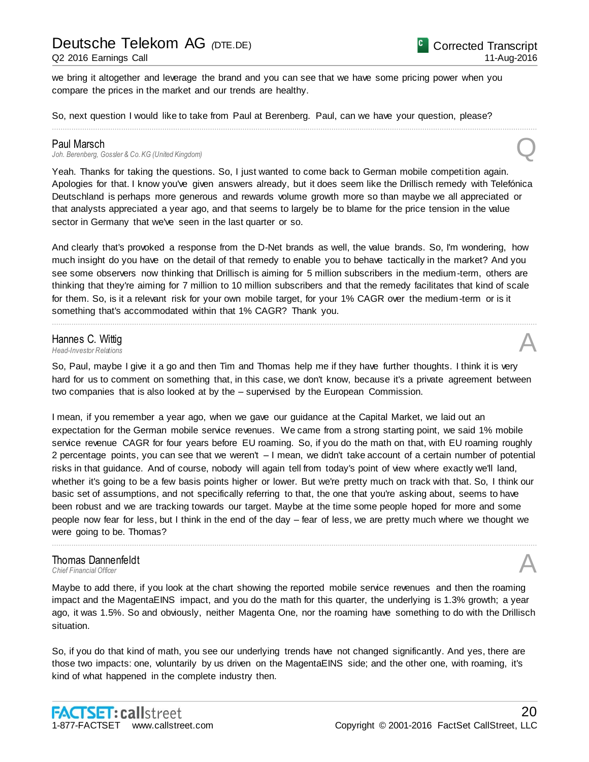we bring it altogether and leverage the brand and you can see that we have some pricing power when you compare the prices in the market and our trends are healthy.

So, next question I would like to take from Paul at Berenberg. Paul, can we have your question, please?

#### Paul Marsch

Joh. Berenberg, Gossler & Co. KG (United Kingdom)

Yeah. Thanks for taking the questions. So, I just wanted to come back to German mobile competition again. Apologies for that. I know you've given answers already, but it does seem like the Drillisch remedy with Telefónica Deutschland is perhaps more generous and rewards volume growth more so than maybe we all appreciated or that analysts appreciated a year ago, and that seems to largely be to blame for the price tension in the value sector in Germany that we've seen in the last quarter or so.

................................................................................................................................................................................................................................

And clearly that's provoked a response from the D-Net brands as well, the value brands. So, I'm wondering, how much insight do you have on the detail of that remedy to enable you to behave tactically in the market? And you see some observers now thinking that Drillisch is aiming for 5 million subscribers in the medium-term, others are thinking that they're aiming for 7 million to 10 million subscribers and that the remedy facilitates that kind of scale for them. So, is it a relevant risk for your own mobile target, for your 1% CAGR over the medium-term or is it something that's accommodated within that 1% CAGR? Thank you.

................................................................................................................................................................................................................................

### Hannes C. Wittig *Head-Investor Relations* A

So, Paul, maybe I give it a go and then Tim and Thomas help me if they have further thoughts. I think it is very hard for us to comment on something that, in this case, we don't know, because it's a private agreement between two companies that is also looked at by the – supervised by the European Commission.

I mean, if you remember a year ago, when we gave our guidance at the Capital Market, we laid out an expectation for the German mobile service revenues. We came from a strong starting point, we said 1% mobile service revenue CAGR for four years before EU roaming. So, if you do the math on that, with EU roaming roughly 2 percentage points, you can see that we weren't – I mean, we didn't take account of a certain number of potential risks in that guidance. And of course, nobody will again tell from today's point of view where exactly we'll land, whether it's going to be a few basis points higher or lower. But we're pretty much on track with that. So, I think our basic set of assumptions, and not specifically referring to that, the one that you're asking about, seems to have been robust and we are tracking towards our target. Maybe at the time some people hoped for more and some people now fear for less, but I think in the end of the day – fear of less, we are pretty much where we thought we were going to be. Thomas?

### Thomas Dannenfeldt **Thomas Dannenfeldt**<br>
Chief Financial Officer<br> **A**

Maybe to add there, if you look at the chart showing the reported mobile service revenues and then the roaming impact and the MagentaEINS impact, and you do the math for this quarter, the underlying is 1.3% growth; a year ago, it was 1.5%. So and obviously, neither Magenta One, nor the roaming have something to do with the Drillisch situation.

................................................................................................................................................................................................................................

So, if you do that kind of math, you see our underlying trends have not changed significantly. And yes, there are those two impacts: one, voluntarily by us driven on the MagentaEINS side; and the other one, with roaming, it's kind of what happened in the complete industry then.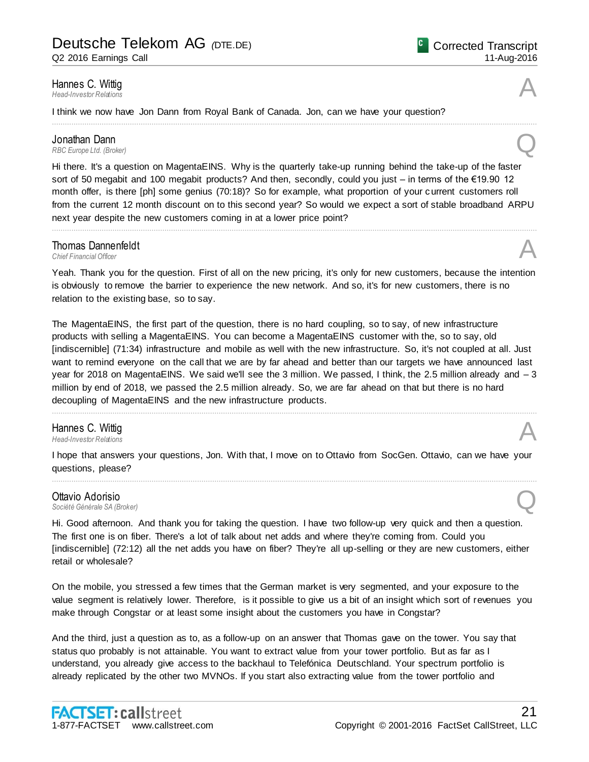Q2 2016 Earnings Call

### **Hannes C. Wittig**<br>Head-Investor Relations *Head-Investor Relations* A

I think we now have Jon Dann from Royal Bank of Canada. Jon, can we have your question?

**Jonathan Dann**<br>RBC Europe Ltd. (Broker) *RBC Europe Ltd. (Broker)* **Q** 

Hi there. It's a question on MagentaEINS. Why is the quarterly take-up running behind the take-up of the faster sort of 50 megabit and 100 megabit products? And then, secondly, could you just – in terms of the €19.90 12 month offer, is there [ph] some genius (70:18)? So for example, what proportion of your current customers roll from the current 12 month discount on to this second year? So would we expect a sort of stable broadband ARPU next year despite the new customers coming in at a lower price point?

................................................................................................................................................................................................................................

................................................................................................................................................................................................................................

### **Thomas Dannenfeldt**<br>Chief Financial Officer **Thomas Dannenfeldt**<br>
Chief Financial Officer<br> **A**

Yeah. Thank you for the question. First of all on the new pricing, it's only for new customers, because the intention is obviously to remove the barrier to experience the new network. And so, it's for new customers, there is no relation to the existing base, so to say.

The MagentaEINS, the first part of the question, there is no hard coupling, so to say, of new infrastructure products with selling a MagentaEINS. You can become a MagentaEINS customer with the, so to say, old [indiscernible] (71:34) infrastructure and mobile as well with the new infrastructure. So, it's not coupled at all. Just want to remind everyone on the call that we are by far ahead and better than our targets we have announced last year for 2018 on MagentaEINS. We said we'll see the 3 million. We passed, I think, the 2.5 million already and – 3 million by end of 2018, we passed the 2.5 million already. So, we are far ahead on that but there is no hard decoupling of MagentaEINS and the new infrastructure products.

................................................................................................................................................................................................................................

### Hannes C. Wittig *Head-Investor Relations* A

I hope that answers your questions, Jon. With that, I move on to Ottavio from SocGen. Ottavio, can we have your questions, please? ................................................................................................................................................................................................................................

### Ottavio Adorisio **Ottavio Adorisio**<br>Société Générale SA (Broker)

Hi. Good afternoon. And thank you for taking the question. I have two follow-up very quick and then a question. The first one is on fiber. There's a lot of talk about net adds and where they're coming from. Could you [indiscernible] (72:12) all the net adds you have on fiber? They're all up-selling or they are new customers, either retail or wholesale?

On the mobile, you stressed a few times that the German market is very segmented, and your exposure to the value segment is relatively lower. Therefore, is it possible to give us a bit of an insight which sort of revenues you make through Congstar or at least some insight about the customers you have in Congstar?

And the third, just a question as to, as a follow-up on an answer that Thomas gave on the tower. You say that status quo probably is not attainable. You want to extract value from your tower portfolio. But as far as I understand, you already give access to the backhaul to Telefónica Deutschland. Your spectrum portfolio is already replicated by the other two MVNOs. If you start also extracting value from the tower portfolio and



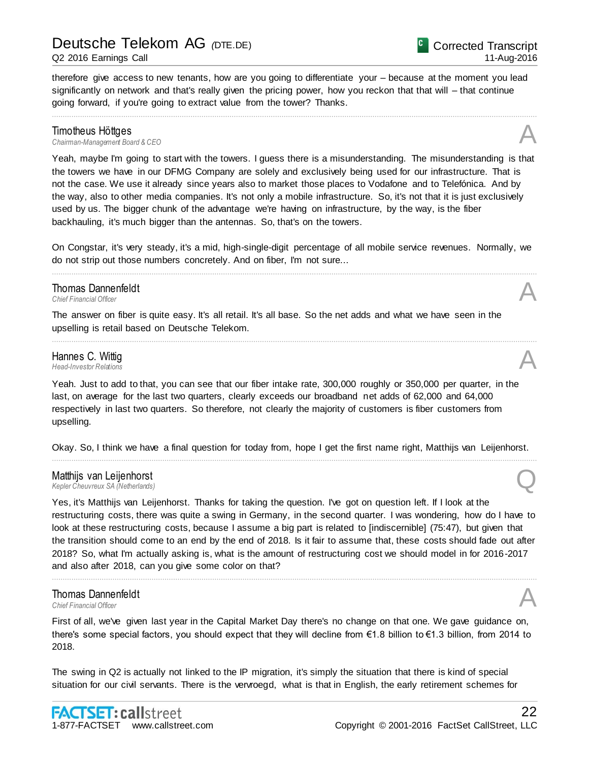#### Q2 2016 Earnings Call

Corrected Transcript 11-Aug-2016

therefore give access to new tenants, how are you going to differentiate your – because at the moment you lead significantly on network and that's really given the pricing power, how you reckon that that will – that continue going forward, if you're going to extract value from the tower? Thanks.

................................................................................................................................................................................................................................

**Timotheus Höttges**<br>Chairman-Management Board & CEO *Chairman-Management Board & CEO* A

Yeah, maybe I'm going to start with the towers. I guess there is a misunderstanding. The misunderstanding is that the towers we have in our DFMG Company are solely and exclusively being used for our infrastructure. That is not the case. We use it already since years also to market those places to Vodafone and to Telefónica. And by the way, also to other media companies. It's not only a mobile infrastructure. So, it's not that it is just exclusively used by us. The bigger chunk of the advantage we're having on infrastructure, by the way, is the fiber backhauling, it's much bigger than the antennas. So, that's on the towers.

On Congstar, it's very steady, it's a mid, high-single-digit percentage of all mobile service revenues. Normally, we do not strip out those numbers concretely. And on fiber, I'm not sure... ................................................................................................................................................................................................................................

................................................................................................................................................................................................................................

### **Thomas Dannenfeldt**<br>Chief Einancial Officer **Thomas Dannenfeldt**<br>
Chief Financial Officer<br> **A**

The answer on fiber is quite easy. It's all retail. It's all base. So the net adds and what we have seen in the upselling is retail based on Deutsche Telekom.

### Hannes C. Wittig<br>Head-Investor Relations *Head-Investor Relations* A

Yeah. Just to add to that, you can see that our fiber intake rate, 300,000 roughly or 350,000 per quarter, in the last, on average for the last two quarters, clearly exceeds our broadband net adds of 62,000 and 64,000 respectively in last two quarters. So therefore, not clearly the majority of customers is fiber customers from upselling.

Okay. So, I think we have a final question for today from, hope I get the first name right, Matthijs van Leijenhorst. ................................................................................................................................................................................................................................

### Matthijs van Leijenhorst *Kepler Cheuvreux SA (Netherlands)* Q

Yes, it's Matthijs van Leijenhorst. Thanks for taking the question. I've got on question left. If I look at the restructuring costs, there was quite a swing in Germany, in the second quarter. I was wondering, how do I have to look at these restructuring costs, because I assume a big part is related to [indiscernible] (75:47), but given that the transition should come to an end by the end of 2018. Is it fair to assume that, these costs should fade out after 2018? So, what I'm actually asking is, what is the amount of restructuring cost we should model in for 2016-2017 and also after 2018, can you give some color on that?

................................................................................................................................................................................................................................

### Thomas Dannenfeldt **Thomas Dannenfeldt**<br>
Chief Financial Officer<br> **A**

First of all, we've given last year in the Capital Market Day there's no change on that one. We gave guidance on, there's some special factors, you should expect that they will decline from €1.8 billion to €1.3 billion, from 2014 to 2018.

The swing in Q2 is actually not linked to the IP migration, it's simply the situation that there is kind of special situation for our civil servants. There is the vervroegd, what is that in English, the early retirement schemes for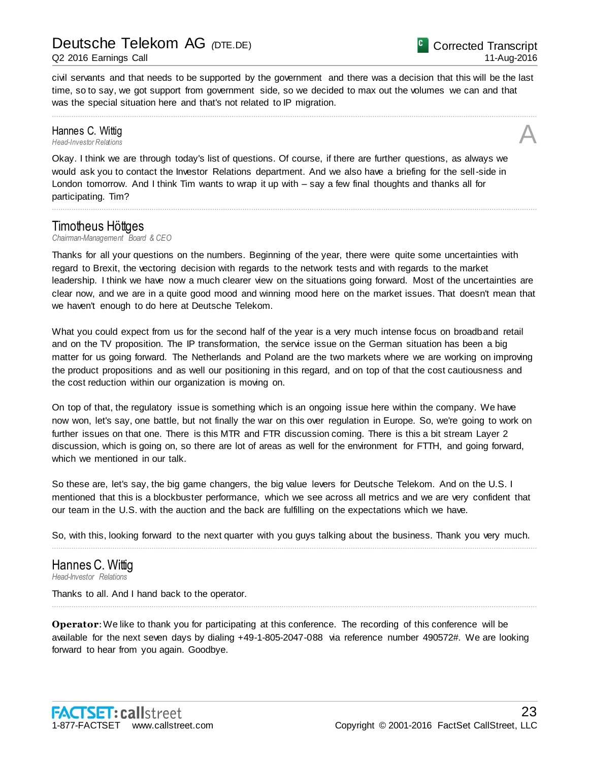civil servants and that needs to be supported by the government and there was a decision that this will be the last time, so to say, we got support from government side, so we decided to max out the volumes we can and that was the special situation here and that's not related to IP migration.

................................................................................................................................................................................................................................

### **Hannes C. Wittig**<br>Head-Investor Relations *Head-Investor Relations* A

Okay. I think we are through today's list of questions. Of course, if there are further questions, as always we would ask you to contact the Investor Relations department. And we also have a briefing for the sell-side in London tomorrow. And I think Tim wants to wrap it up with – say a few final thoughts and thanks all for participating. Tim?

### Timotheus Höttges

*Chairman-Management Board & CEO*

Thanks for all your questions on the numbers. Beginning of the year, there were quite some uncertainties with regard to Brexit, the vectoring decision with regards to the network tests and with regards to the market leadership. I think we have now a much clearer view on the situations going forward. Most of the uncertainties are clear now, and we are in a quite good mood and winning mood here on the market issues. That doesn't mean that we haven't enough to do here at Deutsche Telekom.

................................................................................................................................................................................................................................

What you could expect from us for the second half of the year is a very much intense focus on broadband retail and on the TV proposition. The IP transformation, the service issue on the German situation has been a big matter for us going forward. The Netherlands and Poland are the two markets where we are working on improving the product propositions and as well our positioning in this regard, and on top of that the cost cautiousness and the cost reduction within our organization is moving on.

On top of that, the regulatory issue is something which is an ongoing issue here within the company. We have now won, let's say, one battle, but not finally the war on this over regulation in Europe. So, we're going to work on further issues on that one. There is this MTR and FTR discussion coming. There is this a bit stream Layer 2 discussion, which is going on, so there are lot of areas as well for the environment for FTTH, and going forward, which we mentioned in our talk.

So these are, let's say, the big game changers, the big value levers for Deutsche Telekom. And on the U.S. I mentioned that this is a blockbuster performance, which we see across all metrics and we are very confident that our team in the U.S. with the auction and the back are fulfilling on the expectations which we have.

So, with this, looking forward to the next quarter with you guys talking about the business. Thank you very much. ................................................................................................................................................................................................................................

Hannes C. Wittig

*Head-Investor Relations*

Thanks to all. And I hand back to the operator.

**Operator**: We like to thank you for participating at this conference. The recording of this conference will be available for the next seven days by dialing +49-1-805-2047-088 via reference number 490572#. We are looking forward to hear from you again. Goodbye.

................................................................................................................................................................................................................................